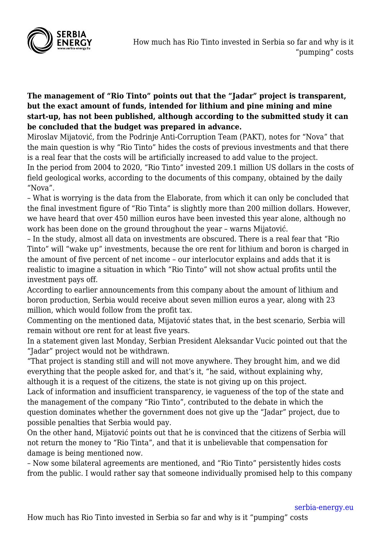

## **The management of "Rio Tinto" points out that the "Jadar" project is transparent, but the exact amount of funds, intended for lithium and pine mining and mine start-up, has not been published, although according to the submitted study it can be concluded that the budget was prepared in advance.**

Miroslav Mijatović, from the Podrinje Anti-Corruption Team (PAKT), notes for "Nova" that the main question is why "Rio Tinto" hides the costs of previous investments and that there is a real fear that the costs will be artificially increased to add value to the project. In the period from 2004 to 2020, "Rio Tinto" invested 209.1 million US dollars in the costs of field geological works, according to the documents of this company, obtained by the daily "Nova".

– What is worrying is the data from the Elaborate, from which it can only be concluded that the final investment figure of "Rio Tinta" is slightly more than 200 million dollars. However, we have heard that over 450 million euros have been invested this year alone, although no work has been done on the ground throughout the year – warns Mijatović.

– In the study, almost all data on investments are obscured. There is a real fear that "Rio Tinto" will "wake up" investments, because the ore rent for lithium and boron is charged in the amount of five percent of net income – our interlocutor explains and adds that it is realistic to imagine a situation in which "Rio Tinto" will not show actual profits until the investment pays off.

According to earlier announcements from this company about the amount of lithium and boron production, Serbia would receive about seven million euros a year, along with 23 million, which would follow from the profit tax.

Commenting on the mentioned data, Mijatović states that, in the best scenario, Serbia will remain without ore rent for at least five years.

In a statement given last Monday, Serbian President Aleksandar Vucic pointed out that the "Jadar" project would not be withdrawn.

"That project is standing still and will not move anywhere. They brought him, and we did everything that the people asked for, and that's it, "he said, without explaining why, although it is a request of the citizens, the state is not giving up on this project.

Lack of information and insufficient transparency, ie vagueness of the top of the state and the management of the company "Rio Tinto", contributed to the debate in which the question dominates whether the government does not give up the "Jadar" project, due to possible penalties that Serbia would pay.

On the other hand, Mijatović points out that he is convinced that the citizens of Serbia will not return the money to "Rio Tinta", and that it is unbelievable that compensation for damage is being mentioned now.

– Now some bilateral agreements are mentioned, and "Rio Tinto" persistently hides costs from the public. I would rather say that someone individually promised help to this company